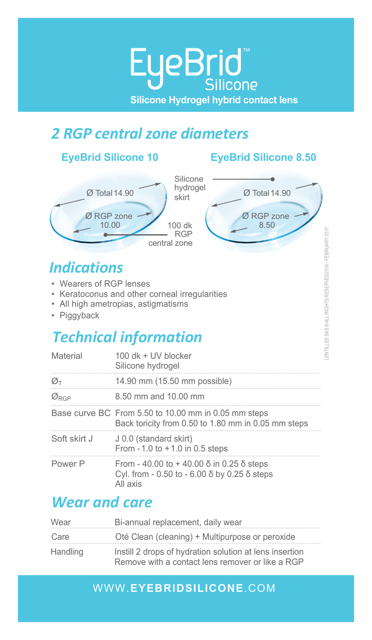# *2 RGP central zone diameters*

### **EyeBrid Silicone 10 EyeBrid Silicone 8.50**



# *Indications*

- Wearers of RGPs (comfort/centration/stability problems)
- Keratoconus and other corneal irregularities
- All high ametropias, astigmatisms
- Piggyback

# *Technical information*

| Material                     | 100 dk + UV blocker<br>Silicone hydrogel                                                                            |
|------------------------------|---------------------------------------------------------------------------------------------------------------------|
| $\varnothing$ t              | 14.90 mm (15.50 mm possible)                                                                                        |
| $\varnothing$ <sub>RGP</sub> | 8.50 mm and 10.00 mm                                                                                                |
|                              | Base curve BC From 5.50 to 10.00 mm in 0.05 mm steps<br>Back toricity from 0.50 to 1.80 mm in 0.05 mm steps         |
| Soft skirt J                 | J 0.0 (standard skirt)<br>From $-1.0$ to $+1.0$ in 0.5 steps                                                        |
| Power P                      | From - 40.00 to + 40.00 $\delta$ in 0.25 $\delta$ steps<br>Cyl. from - 0.50 to - 6.00 δ by 0.25 δ steps<br>All axis |

# *Wear and care*

| Wear     | Bi-annual replacement, daily wear                                                                           |
|----------|-------------------------------------------------------------------------------------------------------------|
| Care     | Oté Clean (cleaning) + Multipurpose or peroxide                                                             |
| Handling | Instill 2 drops of hydration solution at lens insertion<br>Remove with a contact lens remover or like a RGP |

### WWW.**EYEBRIDSILICONE**.COM